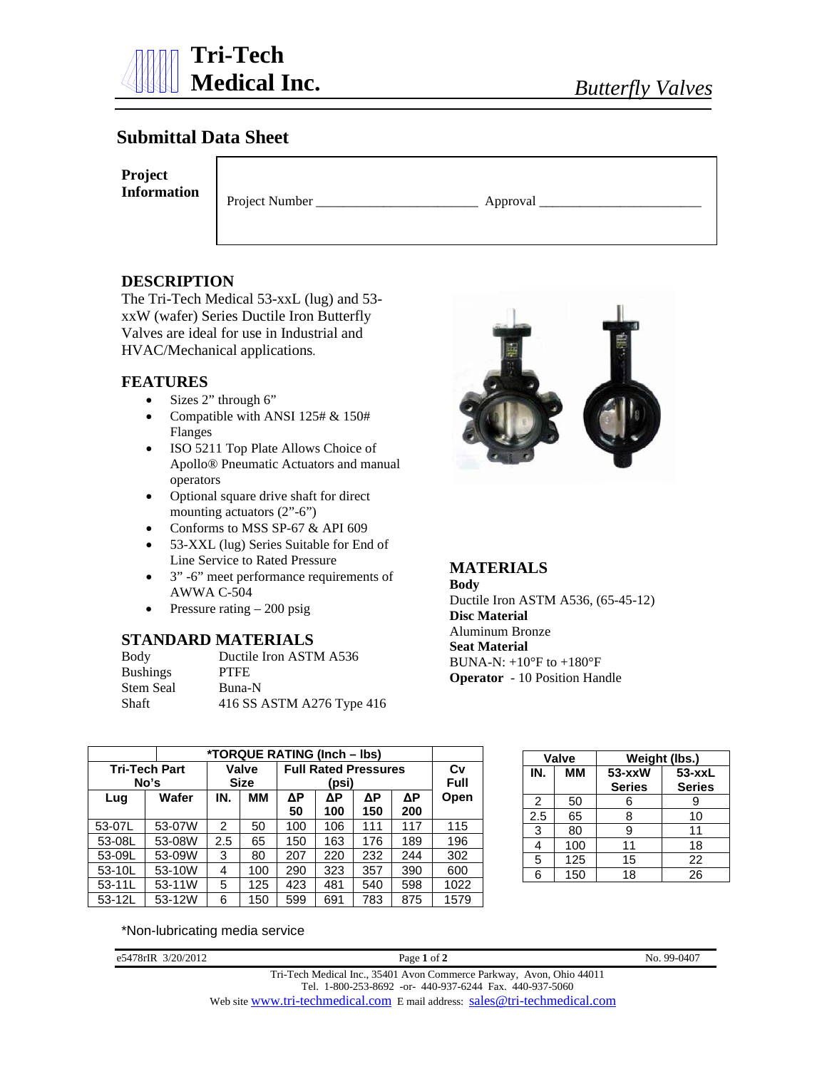

# **Submittal Data Sheet**

**Project Information**

Project Number \_\_\_\_\_\_\_\_\_\_\_\_\_\_\_\_\_\_\_\_\_\_\_\_ Approval \_\_\_\_\_\_\_\_\_\_\_\_\_\_\_\_\_\_\_\_\_\_\_\_

# **DESCRIPTION**

The Tri-Tech Medical 53-xxL (lug) and 53 xxW (wafer) Series Ductile Iron Butterfly Valves are ideal for use in Industrial and HVAC/Mechanical applications.

### **FEATURES**

- Sizes 2" through 6"
- Compatible with ANSI 125# & 150# Flanges
- ISO 5211 Top Plate Allows Choice of Apollo® Pneumatic Actuators and manual operators
- Optional square drive shaft for direct mounting actuators  $(2^{\prime\prime}$ -6")
- Conforms to MSS SP-67 & API 609
- 53-XXL (lug) Series Suitable for End of Line Service to Rated Pressure
- 3" -6" meet performance requirements of AWWA C-504
- Pressure rating  $-200$  psig

### **STANDARD MATERIALS**

| Body            | Ductile Iron ASTM A536    |
|-----------------|---------------------------|
| <b>Bushings</b> | <b>PTFE</b>               |
| Stem Seal       | Buna-N                    |
| Shaft           | 416 SS ASTM A276 Type 416 |



## **MATERIALS**

**Body**  Ductile Iron ASTM A536, (65-45-12) **Disc Material**  Aluminum Bronze **Seat Material**  BUNA-N:  $+10^{\circ}$ F to  $+180^{\circ}$ F **Operator** - 10 Position Handle

|          |                              | *TORQUE RATING (Inch - lbs) |                      |                             |                   |           |           |      |  |  |  |  |  |  |
|----------|------------------------------|-----------------------------|----------------------|-----------------------------|-------------------|-----------|-----------|------|--|--|--|--|--|--|
|          | <b>Tri-Tech Part</b><br>No's |                             | Valve<br><b>Size</b> | <b>Full Rated Pressures</b> | Cv<br><b>Full</b> |           |           |      |  |  |  |  |  |  |
| Lug      | Wafer                        | IN.                         | ΜМ                   | ΔΡ<br>50                    | ΔΡ<br>100         | ΔΡ<br>150 | ΔΡ<br>200 | Open |  |  |  |  |  |  |
| 53-07L   | 53-07W                       | $\mathfrak{p}$              | 50                   | 100                         | 106               | 111       | 117       | 115  |  |  |  |  |  |  |
| 53-08L   | 53-08W                       | 2.5                         | 65                   | 150                         | 163               | 176       | 189       | 196  |  |  |  |  |  |  |
| 53-09L   | 53-09W                       | 3                           | 80                   | 207                         | 220               | 232       | 244       | 302  |  |  |  |  |  |  |
| 53-10L   | 53-10W                       |                             | 100                  | 290                         | 323               | 357       | 390       | 600  |  |  |  |  |  |  |
| $53-11L$ | 53-11W                       | 5                           | 125                  | 423                         | 481               | 540       | 598       | 1022 |  |  |  |  |  |  |
| 53-12L   | 53-12W                       | 6                           | 150                  | 599                         | 691               | 783       | 875       | 1579 |  |  |  |  |  |  |

|     | <b>Valve</b> | Weight (lbs.)           |                             |  |  |  |  |  |
|-----|--------------|-------------------------|-----------------------------|--|--|--|--|--|
| IN. | мм           | 53-xxW<br><b>Series</b> | $53 - xxL$<br><b>Series</b> |  |  |  |  |  |
| 2   | 50           | 6                       | 9                           |  |  |  |  |  |
| 2.5 | 65           | 8                       | 10                          |  |  |  |  |  |
| 3   | 80           | 9                       | 11                          |  |  |  |  |  |
| 4   | 100          | 11                      | 18                          |  |  |  |  |  |
| 5   | 125          | 15                      | 22                          |  |  |  |  |  |
| 6   | 150          | 18                      | 26                          |  |  |  |  |  |

\*Non-lubricating media service

e5478rIR 3/20/2012 Page **1** of **2** No. 99-0407

Tri-Tech Medical Inc., 35401 Avon Commerce Parkway, Avon, Ohio 44011 Tel. 1-800-253-8692 -or- 440-937-6244 Fax. 440-937-5060

Web site [www.tri-techmedical.com](http://www.tri-techmedical.com/) E mail address: [sales@tri-techmedical.com](mailto:sales@tri-techmedical.com)